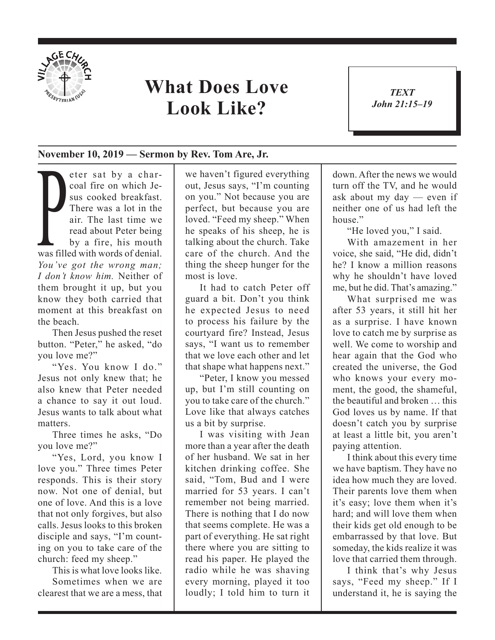

## **What Does Love Look Like?**

*TEXT John 21:15–19* 1

## **November 10, 2019 — Sermon by Rev. Tom Are, Jr.**

There was a lot in the<br>air. The last time we<br>read about Peter being<br>by a fire, his mouth<br>was filled with words of denial. eter sat by a charcoal fire on which Jesus cooked breakfast. There was a lot in the air. The last time we read about Peter being by a fire, his mouth *You've got the wrong man; I don't know him.* Neither of them brought it up, but you know they both carried that moment at this breakfast on the beach.

Then Jesus pushed the reset button. "Peter," he asked, "do you love me?"

"Yes. You know I do." Jesus not only knew that; he also knew that Peter needed a chance to say it out loud. Jesus wants to talk about what matters.

Three times he asks, "Do you love me?"

"Yes, Lord, you know I love you." Three times Peter responds. This is their story now. Not one of denial, but one of love. And this is a love that not only forgives, but also calls. Jesus looks to this broken disciple and says, "I'm counting on you to take care of the church: feed my sheep."

This is what love looks like. Sometimes when we are clearest that we are a mess, that we haven't figured everything out, Jesus says, "I'm counting on you." Not because you are perfect, but because you are loved. "Feed my sheep." When he speaks of his sheep, he is talking about the church. Take care of the church. And the thing the sheep hunger for the most is love.

It had to catch Peter off guard a bit. Don't you think he expected Jesus to need to process his failure by the courtyard fire? Instead, Jesus says, "I want us to remember that we love each other and let that shape what happens next."

"Peter, I know you messed up, but I'm still counting on you to take care of the church." Love like that always catches us a bit by surprise.

I was visiting with Jean more than a year after the death of her husband. We sat in her kitchen drinking coffee. She said, "Tom, Bud and I were married for 53 years. I can't remember not being married. There is nothing that I do now that seems complete. He was a part of everything. He sat right there where you are sitting to read his paper. He played the radio while he was shaving every morning, played it too loudly; I told him to turn it down. After the news we would turn off the TV, and he would ask about my day — even if neither one of us had left the house<sup>"</sup>

"He loved you," I said.

With amazement in her voice, she said, "He did, didn't he? I know a million reasons why he shouldn't have loved me, but he did. That's amazing."

What surprised me was after 53 years, it still hit her as a surprise. I have known love to catch me by surprise as well. We come to worship and hear again that the God who created the universe, the God who knows your every moment, the good, the shameful, the beautiful and broken … this God loves us by name. If that doesn't catch you by surprise at least a little bit, you aren't paying attention.

I think about this every time we have baptism. They have no idea how much they are loved. Their parents love them when it's easy; love them when it's hard; and will love them when their kids get old enough to be embarrassed by that love. But someday, the kids realize it was love that carried them through.

I think that's why Jesus says, "Feed my sheep." If I understand it, he is saying the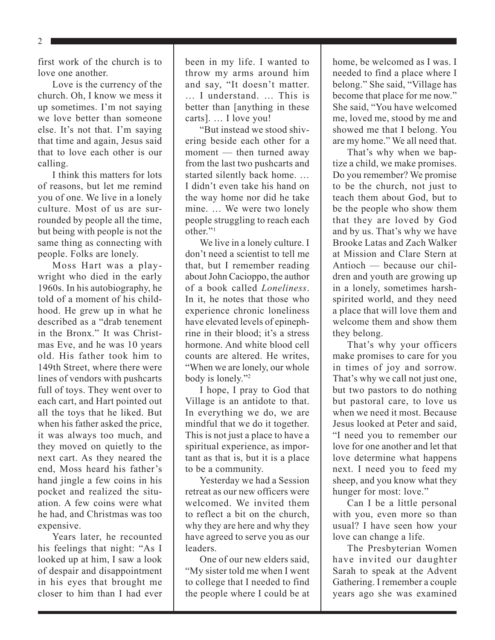2

first work of the church is to love one another.

Love is the currency of the church. Oh, I know we mess it up sometimes. I'm not saying we love better than someone else. It's not that. I'm saying that time and again, Jesus said that to love each other is our calling.

I think this matters for lots of reasons, but let me remind you of one. We live in a lonely culture. Most of us are surrounded by people all the time, but being with people is not the same thing as connecting with people. Folks are lonely.

Moss Hart was a playwright who died in the early 1960s. In his autobiography, he told of a moment of his childhood. He grew up in what he described as a "drab tenement in the Bronx." It was Christmas Eve, and he was 10 years old. His father took him to 149th Street, where there were lines of vendors with pushcarts full of toys. They went over to each cart, and Hart pointed out all the toys that he liked. But when his father asked the price, it was always too much, and they moved on quietly to the next cart. As they neared the end, Moss heard his father's hand jingle a few coins in his pocket and realized the situation. A few coins were what he had, and Christmas was too expensive.

Years later, he recounted his feelings that night: "As I looked up at him, I saw a look of despair and disappointment in his eyes that brought me closer to him than I had ever

been in my life. I wanted to throw my arms around him and say, "It doesn't matter. … I understand. … This is better than [anything in these carts]. … I love you!

"But instead we stood shivering beside each other for a moment — then turned away from the last two pushcarts and started silently back home. … I didn't even take his hand on the way home nor did he take mine. … We were two lonely people struggling to reach each other."1

We live in a lonely culture. I don't need a scientist to tell me that, but I remember reading about John Cacioppo, the author of a book called *Loneliness*. In it, he notes that those who experience chronic loneliness have elevated levels of epinephrine in their blood; it's a stress hormone. And white blood cell counts are altered. He writes, "When we are lonely, our whole body is lonely."2

I hope, I pray to God that Village is an antidote to that. In everything we do, we are mindful that we do it together. This is not just a place to have a spiritual experience, as important as that is, but it is a place to be a community.

Yesterday we had a Session retreat as our new officers were welcomed. We invited them to reflect a bit on the church, why they are here and why they have agreed to serve you as our leaders.

One of our new elders said, "My sister told me when I went to college that I needed to find the people where I could be at home, be welcomed as I was. I needed to find a place where I belong." She said, "Village has become that place for me now." She said, "You have welcomed me, loved me, stood by me and showed me that I belong. You are my home." We all need that.

That's why when we baptize a child, we make promises. Do you remember? We promise to be the church, not just to teach them about God, but to be the people who show them that they are loved by God and by us. That's why we have Brooke Latas and Zach Walker at Mission and Clare Stern at Antioch — because our children and youth are growing up in a lonely, sometimes harshspirited world, and they need a place that will love them and welcome them and show them they belong.

That's why your officers make promises to care for you in times of joy and sorrow. That's why we call not just one, but two pastors to do nothing but pastoral care, to love us when we need it most. Because Jesus looked at Peter and said, "I need you to remember our love for one another and let that love determine what happens next. I need you to feed my sheep, and you know what they hunger for most: love."

Can I be a little personal with you, even more so than usual? I have seen how your love can change a life.

The Presbyterian Women have invited our daughter Sarah to speak at the Advent Gathering. I remember a couple years ago she was examined